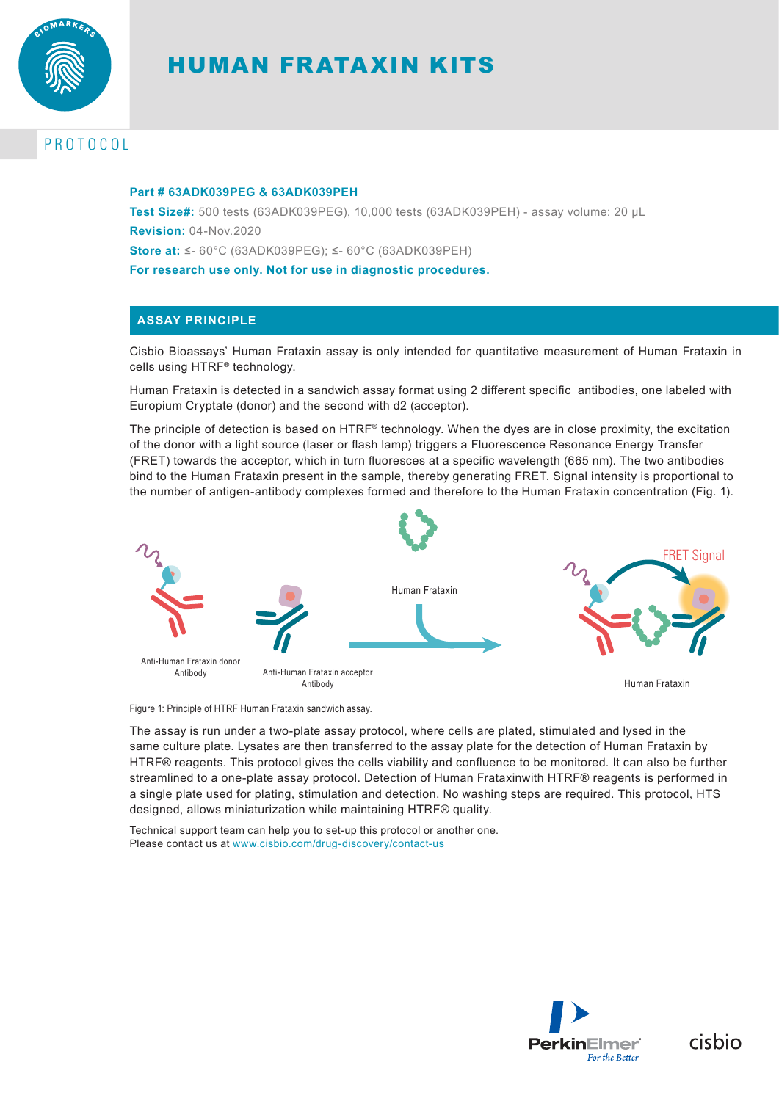

# HUMAN FRATAXIN KITS

# PROTOCOL

#### **Part # 63ADK039PEG & 63ADK039PEH**

**Test Size#:** 500 tests (63ADK039PEG), 10,000 tests (63ADK039PEH) - assay volume: 20 µL **Revision:** 04-Nov.2020 **Store at:** ≤- 60°C (63ADK039PEG); ≤- 60°C (63ADK039PEH) **For research use only. Not for use in diagnostic procedures.**

## **ASSAY PRINCIPLE**

Cisbio Bioassays' Human Frataxin assay is only intended for quantitative measurement of Human Frataxin in cells using HTRF® technology.

Human Frataxin is detected in a sandwich assay format using 2 different specific antibodies, one labeled with Europium Cryptate (donor) and the second with d2 (acceptor).

The principle of detection is based on  $HTRF<sup>®</sup>$  technology. When the dyes are in close proximity, the excitation of the donor with a light source (laser or flash lamp) triggers a Fluorescence Resonance Energy Transfer (FRET) towards the acceptor, which in turn fluoresces at a specific wavelength (665 nm). The two antibodies bind to the Human Frataxin present in the sample, thereby generating FRET. Signal intensity is proportional to the number of antigen-antibody complexes formed and therefore to the Human Frataxin concentration (Fig. 1).



Figure 1: Principle of HTRF Human Frataxin sandwich assay.

The assay is run under a two-plate assay protocol, where cells are plated, stimulated and lysed in the same culture plate. Lysates are then transferred to the assay plate for the detection of Human Frataxin by HTRF® reagents. This protocol gives the cells viability and confluence to be monitored. It can also be further streamlined to a one-plate assay protocol. Detection of Human Frataxinwith HTRF® reagents is performed in a single plate used for plating, stimulation and detection. No washing steps are required. This protocol, HTS designed, allows miniaturization while maintaining HTRF® quality.

Technical support team can help you to set-up this protocol or another one. Please contact us at www.cisbio.com/drug-discovery/contact-us



cisbio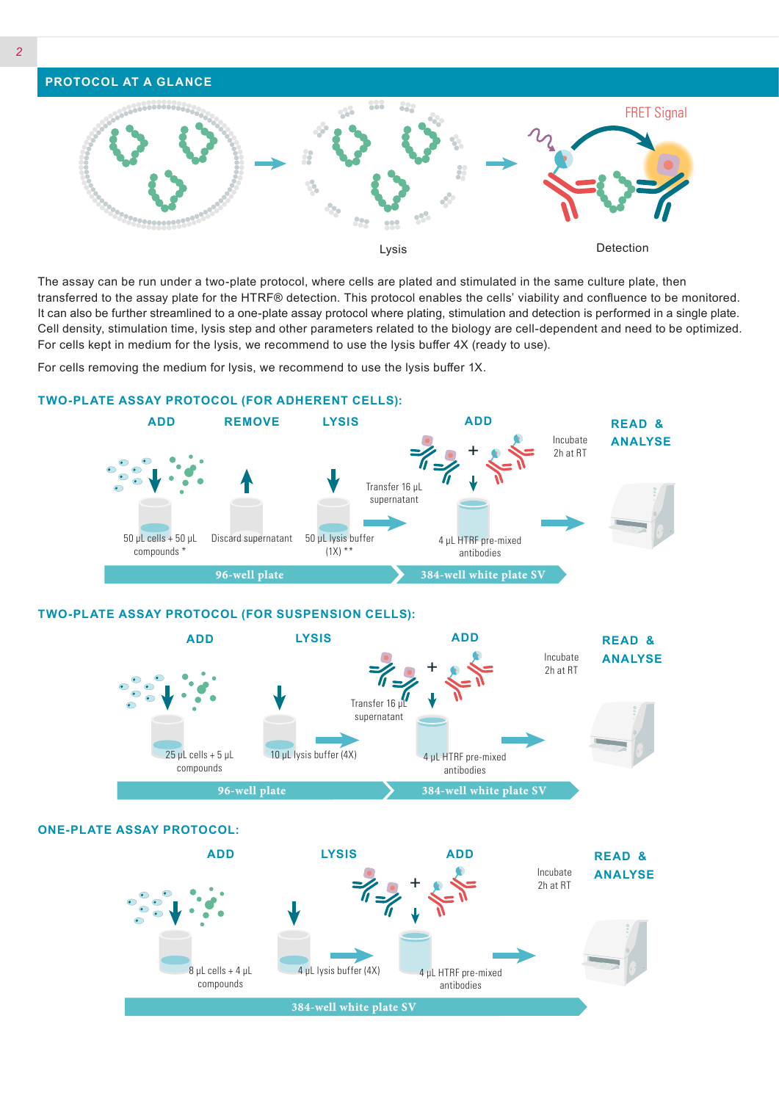

The assay can be run under a two-plate protocol, where cells are plated and stimulated in the same culture plate, then transferred to the assay plate for the HTRF® detection. This protocol enables the cells' viability and confluence to be monitored. It can also be further streamlined to a one-plate assay protocol where plating, stimulation and detection is performed in a single plate. Cell density, stimulation time, lysis step and other parameters related to the biology are cell-dependent and need to be optimized. For cells kept in medium for the lysis, we recommend to use the lysis buffer 4X (ready to use).

For cells removing the medium for lysis, we recommend to use the lysis buffer 1X.



**TWO-PLATE ASSAY PROTOCOL (FOR ADHERENT CELLS):**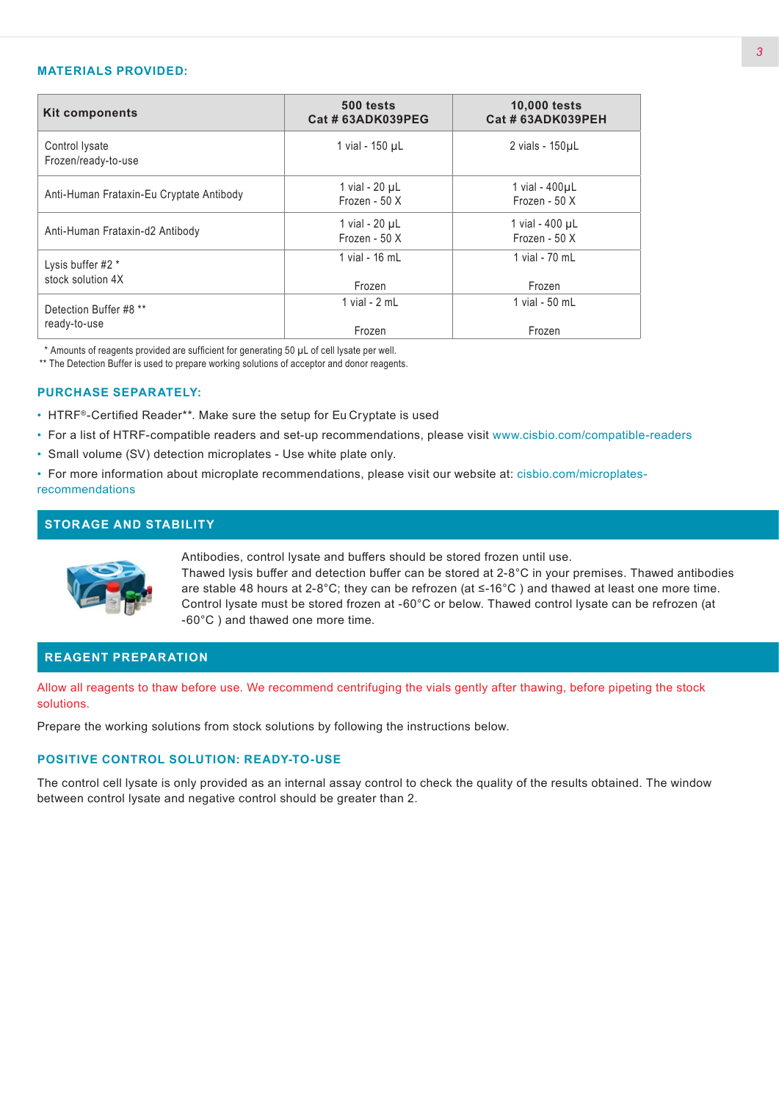#### **MATERIALS PROVIDED:**

| <b>Kit components</b>                    | 500 tests<br>Cat # 63ADK039PEG   | <b>10,000 tests</b><br>Cat # 63ADK039PEH |  |
|------------------------------------------|----------------------------------|------------------------------------------|--|
| Control lysate<br>Frozen/ready-to-use    | 1 vial - 150 µL                  | 2 vials - 150µL                          |  |
| Anti-Human Frataxin-Eu Cryptate Antibody | 1 vial - 20 µL<br>Frozen - 50 X  | 1 vial - 400uL<br>Frozen - 50 X          |  |
| Anti-Human Frataxin-d2 Antibody          | 1 vial - 20 µL<br>Frozen - $50X$ | 1 vial - 400 µL<br>Frozen - $50X$        |  |
| Lysis buffer #2 *<br>stock solution 4X   | 1 vial - 16 mL<br>Frozen         | 1 vial - 70 mL<br>Frozen                 |  |
| Detection Buffer #8 **<br>ready-to-use   | 1 vial - $2 mL$<br>Frozen        | 1 vial - 50 mL<br>Frozen                 |  |

\* Amounts of reagents provided are sufficient for generating 50 µL of cell lysate per well.

\*\* The Detection Buffer is used to prepare working solutions of acceptor and donor reagents.

#### **PURCHASE SEPARATELY:**

- HTRF®-Certified Reader\*\*. Make sure the setup for Eu Cryptate is used
- For a list of HTRF-compatible readers and set-up recommendations, please visit www.cisbio.com/compatible-readers
- Small volume (SV) detection microplates Use white plate only.
- For more information about microplate recommendations, please visit our website at: cisbio.com/microplatesrecommendations

## **STORAGE AND STABILITY**



Antibodies, control lysate and buffers should be stored frozen until use.

Thawed lysis buffer and detection buffer can be stored at 2-8°C in your premises. Thawed antibodies are stable 48 hours at 2-8°C; they can be refrozen (at ≤-16°C ) and thawed at least one more time. Control lysate must be stored frozen at -60°C or below. Thawed control lysate can be refrozen (at -60°C ) and thawed one more time.

#### **REAGENT PREPARATION**

Allow all reagents to thaw before use. We recommend centrifuging the vials gently after thawing, before pipeting the stock solutions.

Prepare the working solutions from stock solutions by following the instructions below.

### **POSITIVE CONTROL SOLUTION: READY-TO-USE**

The control cell lysate is only provided as an internal assay control to check the quality of the results obtained. The window between control lysate and negative control should be greater than 2.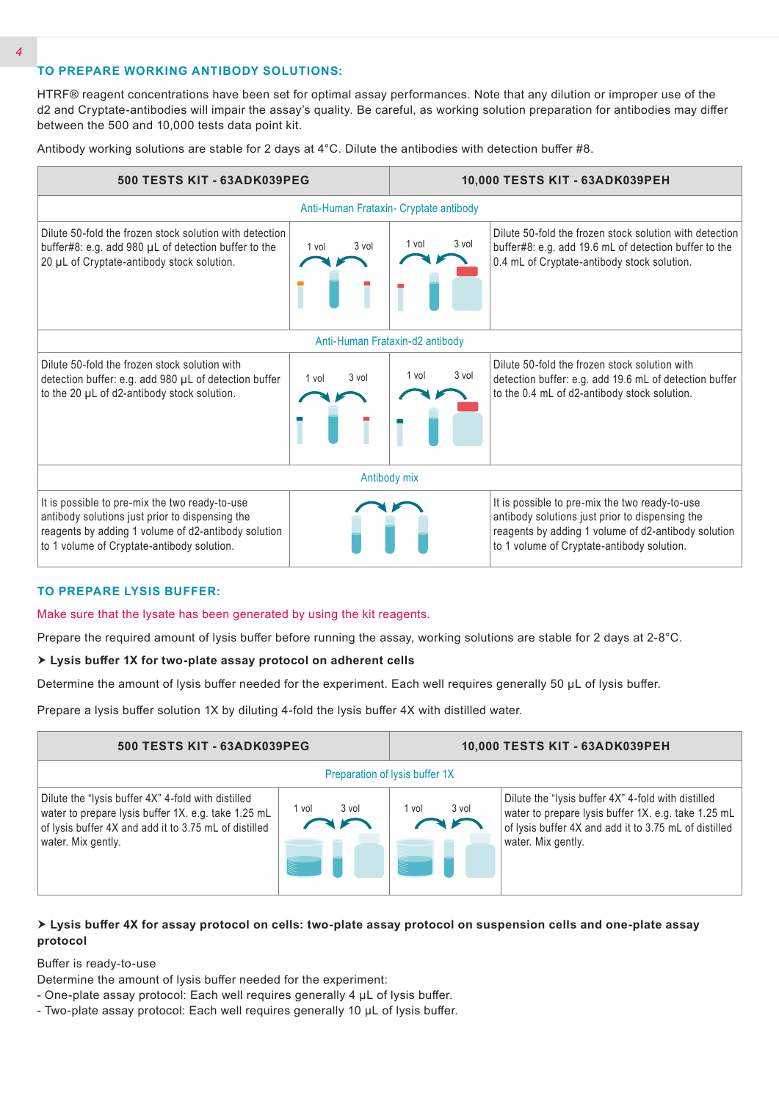## **TO PREPARE WORKING ANTIBODY SOLUTIONS:**

HTRF® reagent concentrations have been set for optimal assay performances. Note that any dilution or improper use of the d2 and Cryptate-antibodies will impair the assay's quality. Be careful, as working solution preparation for antibodies may differ between the 500 and 10,000 tests data point kit.

Antibody working solutions are stable for 2 days at 4°C. Dilute the antibodies with detection buffer #8.



#### **TO PREPARE LYSIS BUFFER:**

Make sure that the lysate has been generated by using the kit reagents.

Prepare the required amount of lysis buffer before running the assay, working solutions are stable for 2 days at 2-8°C.

#### **Lysis buffer 1X for two-plate assay protocol on adherent cells**

Determine the amount of lysis buffer needed for the experiment. Each well requires generally 50 µL of lysis buffer.

Prepare a lysis buffer solution 1X by diluting 4-fold the lysis buffer 4X with distilled water.

| 500 TESTS KIT - 63ADK039PEG                                                                                                                                                              |                | 10,000 TESTS KIT - 63ADK039PEH |                                                                                                                                                                                          |  |  |
|------------------------------------------------------------------------------------------------------------------------------------------------------------------------------------------|----------------|--------------------------------|------------------------------------------------------------------------------------------------------------------------------------------------------------------------------------------|--|--|
| Preparation of Iysis buffer 1X                                                                                                                                                           |                |                                |                                                                                                                                                                                          |  |  |
| Dilute the "lysis buffer 4X" 4-fold with distilled<br>water to prepare lysis buffer 1X. e.g. take 1.25 mL<br>of lysis buffer 4X and add it to 3.75 mL of distilled<br>water. Mix gently. | 3 vol<br>l vol | 3 vol<br>1 vol                 | Dilute the "lysis buffer 4X" 4-fold with distilled<br>water to prepare lysis buffer 1X. e.g. take 1.25 mL<br>of lysis buffer 4X and add it to 3.75 mL of distilled<br>water. Mix gently. |  |  |

### **Lysis buffer 4X for assay protocol on cells: two-plate assay protocol on suspension cells and one-plate assay protocol**

Buffer is ready-to-use

Determine the amount of lysis buffer needed for the experiment:

- One-plate assay protocol: Each well requires generally 4 µL of lysis buffer.
- Two-plate assay protocol: Each well requires generally 10 µL of lysis buffer.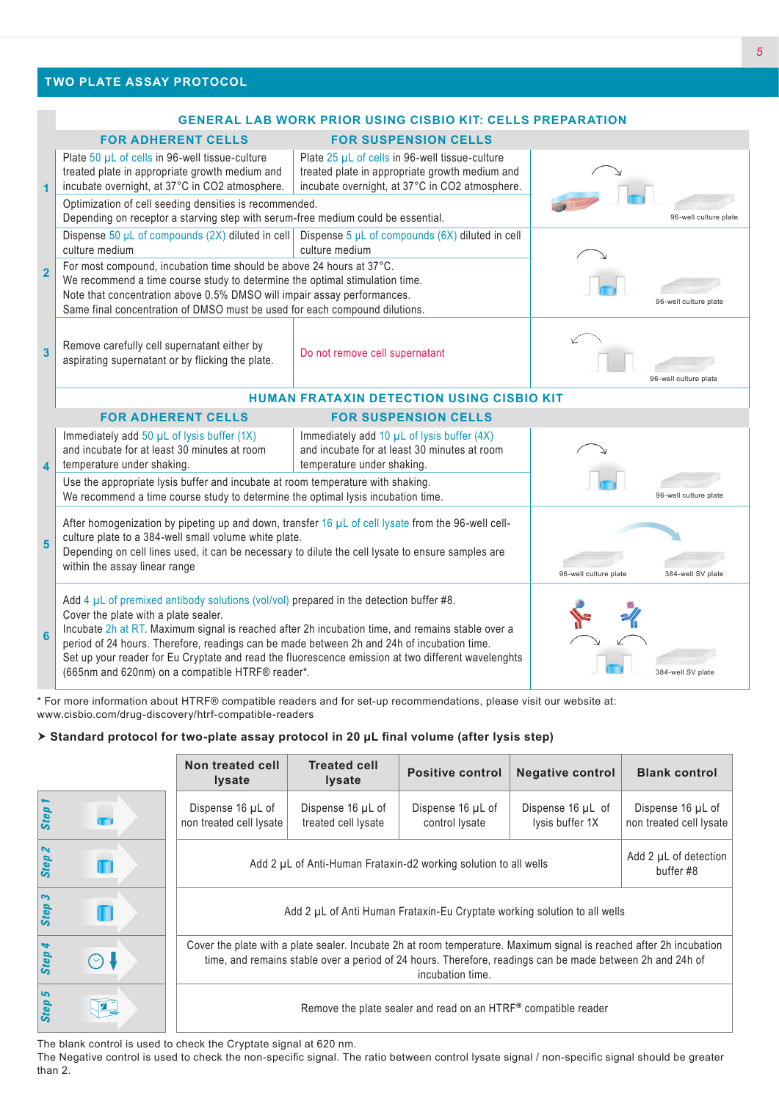## **TWO PLATE ASSAY PROTOCOL**

#### **GENERAL LAB WORK PRIOR USING CISBIO KIT: CELLS PREPARATION FOR ADHERENT CELLS FOR SUSPENSION CELLS 1** Plate 50 µL of cells in 96-well tissue-culture treated plate in appropriate growth medium and incubate overnight, at 37°C in CO2 atmosphere. Plate 25 µL of cells in 96-well tissue-culture treated plate in appropriate growth medium and incubate overnight, at 37°C in CO2 atmosphere. 96-well culture plate Optimization of cell seeding densities is recommended. Depending on receptor a starving step with serum-free medium could be essential. **2** Dispense 50 μL of compounds (2X) diluted in cell culture medium Dispense 5 μL of compounds (6X) diluted in cell culture medium 96-well culture plate For most compound, incubation time should be above 24 hours at 37°C. We recommend a time course study to determine the optimal stimulation time. Note that concentration above 0.5% DMSO will impair assay performances. Same final concentration of DMSO must be used for each compound dilutions. **3** Remove carefully cell supernatant either by aspirating supernatant or by flicking the plate. Do not remove cell supernatant 96-well culture plate **HUMAN FRATAXIN DETECTION USING CISBIO KIT FOR ADHERENT CELLS FOR SUSPENSION CELLS 4** Immediately add  $50 \mu L$  of lysis buffer (1X) and incubate for at least 30 minutes at room temperature under shaking. Immediately add 10  $\mu$ L of lysis buffer (4X) and incubate for at least 30 minutes at room temperature under shaking. 96-well culture plate Use the appropriate lysis buffer and incubate at room temperature with shaking. We recommend a time course study to determine the optimal lysis incubation time. **5** After homogenization by pipeting up and down, transfer 16  $\mu$ L of cell lysate from the 96-well cellculture plate to a 384-well small volume white plate. Depending on cell lines used, it can be necessary to dilute the cell lysate to ensure samples are within the assay linear range 384-well SV plate 384-well SV plate 384-well SV plate 384-well SV plate **6** Add 4  $\mu$ L of premixed antibody solutions (vol/vol) prepared in the detection buffer #8. Cover the plate with a plate sealer. Incubate 2h at RT. Maximum signal is reached after 2h incubation time, and remains stable over a period of 24 hours. Therefore, readings can be made between 2h and 24h of incubation time. Set up your reader for Eu Cryptate and read the fluorescence emission at two different wavelenghts (665nm and 620nm) on a compatible HTRF® reader\*. 384-well SV plate 384-well SV plate

\* For more information about HTRF® compatible readers and for set-up recommendations, please visit our website at: www.cisbio.com/drug-discovery/htrf-compatible-readers

#### **Standard protocol for two-plate assay protocol in 20 µL final volume (after lysis step)**

|                             |         | Non treated cell<br><b>Iysate</b>                                                                                                                                                                                                                    | <b>Treated cell</b><br><b>Iysate</b>     | <b>Positive control</b>             | <b>Negative control</b>              | <b>Blank control</b>                         |
|-----------------------------|---------|------------------------------------------------------------------------------------------------------------------------------------------------------------------------------------------------------------------------------------------------------|------------------------------------------|-------------------------------------|--------------------------------------|----------------------------------------------|
| <b>Step</b>                 |         | Dispense 16 µL of<br>non treated cell lysate                                                                                                                                                                                                         | Dispense 16 µL of<br>treated cell lysate | Dispense 16 µL of<br>control lysate | Dispense 16 µL of<br>lysis buffer 1X | Dispense 16 µL of<br>non treated cell lysate |
| $\mathbf{z}$<br>Step        |         | Add 2 µL of Anti-Human Frataxin-d2 working solution to all wells                                                                                                                                                                                     | Add 2 µL of detection<br>buffer #8       |                                     |                                      |                                              |
| $\mathbf{c}$<br><b>Step</b> |         | Add 2 µL of Anti Human Frataxin-Eu Cryptate working solution to all wells                                                                                                                                                                            |                                          |                                     |                                      |                                              |
| Step 4                      | $\odot$ | Cover the plate with a plate sealer. Incubate 2h at room temperature. Maximum signal is reached after 2h incubation<br>time, and remains stable over a period of 24 hours. Therefore, readings can be made between 2h and 24h of<br>incubation time. |                                          |                                     |                                      |                                              |
| 5<br>Step                   |         | Remove the plate sealer and read on an HTRF® compatible reader                                                                                                                                                                                       |                                          |                                     |                                      |                                              |

The blank control is used to check the Cryptate signal at 620 nm.

The Negative control is used to check the non-specific signal. The ratio between control lysate signal / non-specific signal should be greater than 2.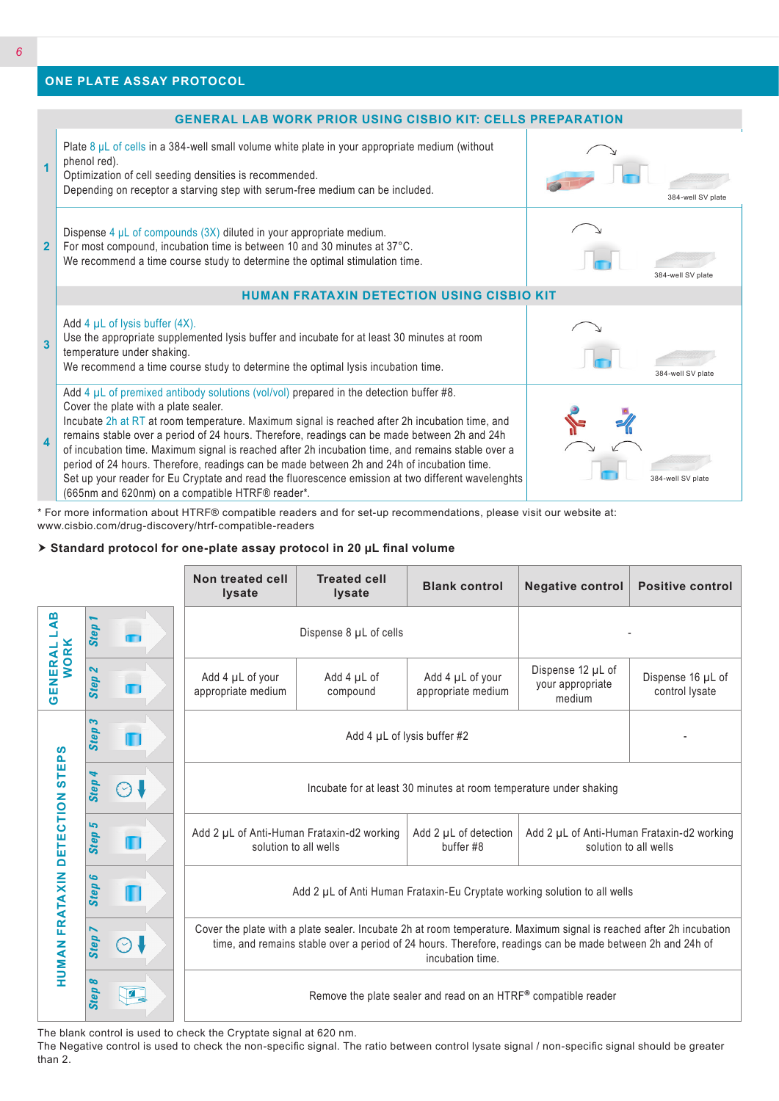## **ONE PLATE ASSAY PROTOCOL**



\* For more information about HTRF® compatible readers and for set-up recommendations, please visit our website at: www.cisbio.com/drug-discovery/htrf-compatible-readers

#### **Standard protocol for one-plate assay protocol in 20 µL final volume**

|                                                                                                                                                                                                                                |                                  |            | Non treated cell<br><b>lysate</b>                                                                                                                                                                                                                    | <b>Treated cell</b><br><b>lysate</b> | <b>Blank control</b>                                                | <b>Negative control</b>                         | <b>Positive control</b>             |
|--------------------------------------------------------------------------------------------------------------------------------------------------------------------------------------------------------------------------------|----------------------------------|------------|------------------------------------------------------------------------------------------------------------------------------------------------------------------------------------------------------------------------------------------------------|--------------------------------------|---------------------------------------------------------------------|-------------------------------------------------|-------------------------------------|
| $\overline{AB}$<br>Li<br><b>GENERAL I</b><br>WORK                                                                                                                                                                              | <b>Step</b>                      |            | Dispense 8 µL of cells                                                                                                                                                                                                                               |                                      |                                                                     |                                                 |                                     |
|                                                                                                                                                                                                                                | $\mathbf{z}$<br><b>Step</b>      |            | Add 4 µL of your<br>appropriate medium                                                                                                                                                                                                               | Add 4 µL of<br>compound              | Add 4 µL of your<br>appropriate medium                              | Dispense 12 µL of<br>your appropriate<br>medium | Dispense 16 µL of<br>control lysate |
| ທ<br><b>HUMAN FRATAXIN DETECTION STEP</b>                                                                                                                                                                                      | 3<br><b>Step</b>                 | П          | Add 4 $\mu$ L of lysis buffer #2                                                                                                                                                                                                                     |                                      |                                                                     |                                                 |                                     |
|                                                                                                                                                                                                                                | Step                             | $(\sim)$   | Incubate for at least 30 minutes at room temperature under shaking                                                                                                                                                                                   |                                      |                                                                     |                                                 |                                     |
|                                                                                                                                                                                                                                | دیا<br><b>Step</b>               | П          | Add 2 µL of Anti-Human Frataxin-d2 working<br>Add 2 µL of detection<br>solution to all wells<br>buffer #8                                                                                                                                            |                                      | Add 2 µL of Anti-Human Frataxin-d2 working<br>solution to all wells |                                                 |                                     |
|                                                                                                                                                                                                                                | G<br>Step                        |            | Add 2 µL of Anti Human Frataxin-Eu Cryptate working solution to all wells                                                                                                                                                                            |                                      |                                                                     |                                                 |                                     |
|                                                                                                                                                                                                                                | $\overline{\phantom{0}}$<br>Step | $(\vee)$   | Cover the plate with a plate sealer. Incubate 2h at room temperature. Maximum signal is reached after 2h incubation<br>time, and remains stable over a period of 24 hours. Therefore, readings can be made between 2h and 24h of<br>incubation time. |                                      |                                                                     |                                                 |                                     |
|                                                                                                                                                                                                                                | $\infty$<br>Step                 | $\sqrt{2}$ | Remove the plate sealer and read on an HTRF® compatible reader                                                                                                                                                                                       |                                      |                                                                     |                                                 |                                     |
| The blank control is used to check the Cryptate signal at 620 nm.<br>The Negative control is used to check the non-specific signal. The ratio between control lysate signal / non-specific signal should be greater<br>than 2. |                                  |            |                                                                                                                                                                                                                                                      |                                      |                                                                     |                                                 |                                     |